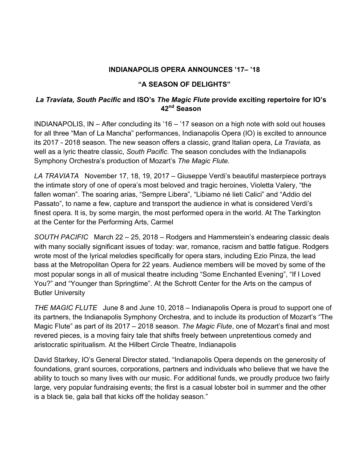## **INDIANAPOLIS OPERA ANNOUNCES '17– '18**

## **"A SEASON OF DELIGHTS"**

## *La Traviata, South Pacific* **and ISO's** *The Magic Flute* **provide exciting repertoire for IO's 42nd Season**

INDIANAPOLIS, IN – After concluding its '16 – '17 season on a high note with sold out houses for all three "Man of La Mancha" performances, Indianapolis Opera (IO) is excited to announce its 2017 - 2018 season. The new season offers a classic, grand Italian opera, *La Traviata,* as well as a lyric theatre classic, *South Pacific*. The season concludes with the Indianapolis Symphony Orchestra's production of Mozart's *The Magic Flute.*

*LA TRAVIATA* November 17, 18, 19, 2017 – Giuseppe Verdi's beautiful masterpiece portrays the intimate story of one of opera's most beloved and tragic heroines, Violetta Valery, "the fallen woman". The soaring arias, "Sempre Libera", "Libiamo né lieti Calici" and "Addio del Passato", to name a few, capture and transport the audience in what is considered Verdi's finest opera. It is, by some margin, the most performed opera in the world. At The Tarkington at the Center for the Performing Arts, Carmel

*SOUTH PACIFIC* March 22 – 25, 2018 – Rodgers and Hammerstein's endearing classic deals with many socially significant issues of today: war, romance, racism and battle fatigue. Rodgers wrote most of the lyrical melodies specifically for opera stars, including Ezio Pinza, the lead bass at the Metropolitan Opera for 22 years. Audience members will be moved by some of the most popular songs in all of musical theatre including "Some Enchanted Evening", "If I Loved You?" and "Younger than Springtime". At the Schrott Center for the Arts on the campus of Butler University

*THE MAGIC FLUTE* June 8 and June 10, 2018 – Indianapolis Opera is proud to support one of its partners, the Indianapolis Symphony Orchestra, and to include its production of Mozart's "The Magic Flute" as part of its 2017 – 2018 season. *The Magic Flute*, one of Mozart's final and most revered pieces, is a moving fairy tale that shifts freely between unpretentious comedy and aristocratic spiritualism*.* At the Hilbert Circle Theatre, Indianapolis

David Starkey, IO's General Director stated, "Indianapolis Opera depends on the generosity of foundations, grant sources, corporations, partners and individuals who believe that we have the ability to touch so many lives with our music. For additional funds, we proudly produce two fairly large, very popular fundraising events; the first is a casual lobster boil in summer and the other is a black tie, gala ball that kicks off the holiday season."